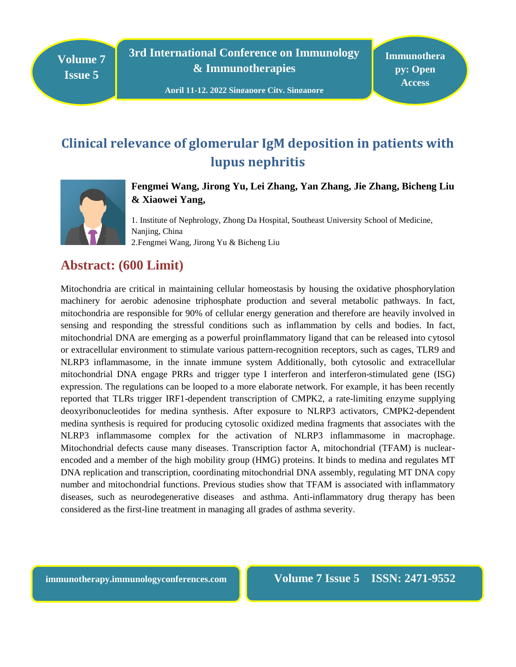**Volume 7 Issue 5**

**3rd International Conference on Immunology & Immunotherapies**

# **Clinical relevance of glomerular IgM deposition in patients with lupus nephritis**



**Fengmei Wang, Jirong Yu, Lei Zhang, Yan Zhang, Jie Zhang, Bicheng Liu & Xiaowei Yang,** 

1. Institute of Nephrology, Zhong Da Hospital, Southeast University School of Medicine, Nanjing, China 2.Fengmei Wang, Jirong Yu & Bicheng Liu

## **Abstract: (600 Limit)**

Mitochondria are critical in maintaining cellular homeostasis by housing the oxidative phosphorylation machinery for aerobic adenosine triphosphate production and several metabolic pathways. In fact, mitochondria are responsible for 90% of cellular energy generation and therefore are heavily involved in sensing and responding the stressful conditions such as inflammation by cells and bodies. In fact, mitochondrial DNA are emerging as a powerful proinflammatory ligand that can be released into cytosol or extracellular environment to stimulate various pattern-recognition receptors, such as cages, TLR9 and NLRP3 inflammasome, in the innate immune system Additionally, both cytosolic and extracellular mitochondrial DNA engage PRRs and trigger type I interferon and interferon-stimulated gene (ISG) expression. The regulations can be looped to a more elaborate network. For example, it has been recently reported that TLRs trigger IRF1-dependent transcription of CMPK2, a rate-limiting enzyme supplying deoxyribonucleotides for medina synthesis. After exposure to NLRP3 activators, CMPK2-dependent medina synthesis is required for producing cytosolic oxidized medina fragments that associates with the NLRP3 inflammasome complex for the activation of NLRP3 inflammasome in macrophage. Mitochondrial defects cause many diseases. Transcription factor A, mitochondrial (TFAM) is nuclearencoded and a member of the high mobility group (HMG) proteins. It binds to medina and regulates MT DNA replication and transcription, coordinating mitochondrial DNA assembly, regulating MT DNA copy number and mitochondrial functions. Previous studies show that TFAM is associated with inflammatory diseases, such as neurodegenerative diseases and asthma. Anti-inflammatory drug therapy has been considered as the first-line treatment in managing all grades of asthma severity.

**immunotherapy.immunologyconferences.com Volume 7 Issue 5 ISSN: 2471-9552**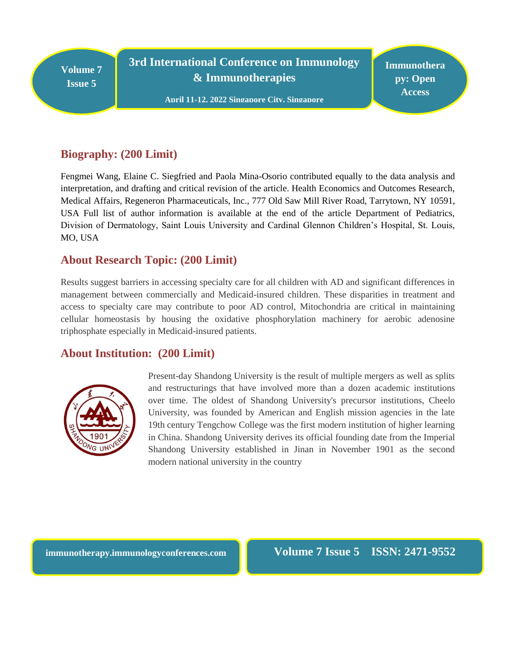**Volume 7 Issue 5**

**3rd International Conference on Immunology & Immunotherapies**

**l April 11-12, 2022 Singapore City, Singapore**

**Immunothera py: Open Access**

#### **Biography: (200 Limit)**

Fengmei Wang, Elaine C. Siegfried and Paola Mina-Osorio contributed equally to the data analysis and interpretation, and drafting and critical revision of the article. Health Economics and Outcomes Research, Medical Affairs, Regeneron Pharmaceuticals, Inc., 777 Old Saw Mill River Road, Tarrytown, NY 10591, USA Full list of author information is available at the end of the article Department of Pediatrics, Division of Dermatology, Saint Louis University and Cardinal Glennon Children's Hospital, St. Louis, MO, USA

#### **About Research Topic: (200 Limit)**

Results suggest barriers in accessing specialty care for all children with AD and significant differences in management between commercially and Medicaid-insured children. These disparities in treatment and access to specialty care may contribute to poor AD control, Mitochondria are critical in maintaining cellular homeostasis by housing the oxidative phosphorylation machinery for aerobic adenosine triphosphate especially in Medicaid-insured patients.

## **About Institution: (200 Limit)**



Present-day Shandong University is the result of multiple mergers as well as splits and restructurings that have involved more than a dozen academic institutions over time. The oldest of Shandong University's precursor institutions, Cheelo University, was founded by American and English mission agencies in the late 19th century Tengchow College was the first modern institution of higher learning in China. Shandong University derives its official founding date from the Imperial Shandong University established in Jinan in November 1901 as the second modern national university in the country

**immunotherapy.immunologyconferences.com** Volume 7 Issue 5 ISSN: 2471-9552